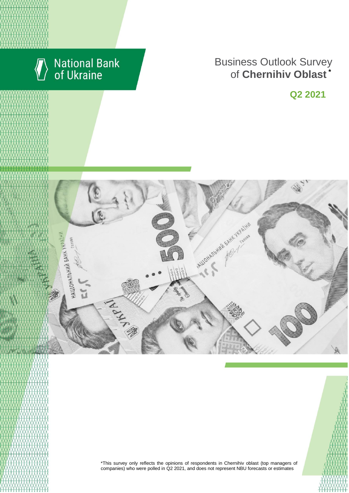

# National Bank<br>of Ukraine

#### **Rusiness Outlook Surve** пися м. Київської Сергіївської Київської Київської Київської Київської Київської Київської Київської Київської **Business Outlook Survey** enterprises of Chernihiv Oblast **Business Outlook Survey** of **Chernihiv Oblast \***

**Q2 2021**



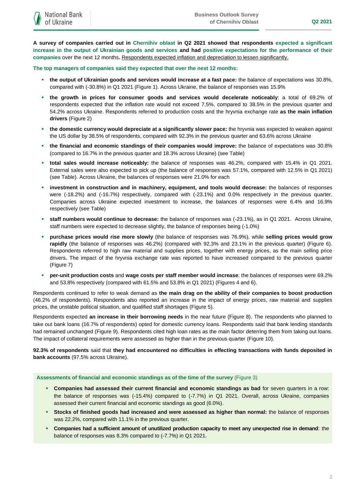**A survey of companies carried out in Chernihiv oblast in Q2 2021 showed that respondents expected a significant increase in the output of Ukrainian goods and services and had positive expectations for the performance of their companies** over the next 12 months**.** Respondents expected inflation and depreciation to lessen significantly.

**The top managers of companies said they expected that over the next 12 months:**

- **the output of Ukrainian goods and services would increase at a fast pace:** the balance of expectations was 30.8%, compared with (-30.8%) in Q1 2021 (Figure 1). Across Ukraine, the balance of responses was 15.9%
- **the growth in prices for consumer goods and services would decelerate noticeably**: a total of 69.2% of respondents expected that the inflation rate would not exceed 7.5%, compared to 38.5% in the previous quarter and 54.2% across Ukraine. Respondents referred to production costs and the hryvnia exchange rate **as the main inflation drivers** (Figure 2)
- **the domestic currency would depreciate at a significantly slower pace:** the hryvnia was expected to weaken against the US dollar by 38.5% of respondents, compared with 92.3% in the previous quarter and 63.6% across Ukraine
- **the financial and economic standings of their companies would improve:** the balance of expectations was 30.8% (compared to 16.7% in the previous quarter and 18.3% across Ukraine) (see Table)
- **total sales would increase noticeably:** the balance of responses was 46.2%, compared with 15.4% in Q1 2021. External sales were also expected to pick up (the balance of responses was 57.1%, compared with 12.5% in Q1 2021) (see Table). Across Ukraine, the balances of responses were 21.0% for each
- **investment in construction and in machinery, equipment, and tools would decrease:** the balances of responses were (-18.2%) and (-16.7%) respectively, compared with (-23.1%) and 0.0% respectively in the previous quarter. Companies across Ukraine expected investment to increase, the balances of responses were 6.4% and 16.9% respectively (see Table)
- **staff numbers would continue to decrease:** the balance of responses was (-23.1%), as in Q1 2021. Across Ukraine, staff numbers were expected to decrease slightly, the balance of responses being (-1.0%)
- **purchase prices would rise more slowly** (the balance of responses was 76.9%), while **selling prices would grow rapidly** (the balance of responses was 46.2%) (compared with 92.3% and 23.1% in the previous quarter) (Figure 6). Respondents referred to high raw material and supplies prices, together with energy prices, as the main selling price drivers. The impact of the hryvnia exchange rate was reported to have increased compared to the previous quarter (Figure 7)
- **per-unit production costs** and **wage costs per staff member would increase**: the balances of responses were 69.2% and 53.8% respectively (compared with 61.5% and 53.8% in Q1 2021) (Figures 4 and 6).

Respondents continued to refer to weak demand as **the main drag on the ability of their companies to boost production** (46.2% of respondents). Respondents also reported an increase in the impact of energy prices, raw material and supplies prices, the unstable political situation, and qualified staff shortages (Figure 5).

Respondents expected **an increase in their borrowing needs** in the near future (Figure 8). The respondents who planned to take out bank loans (16.7% of respondents) opted for domestic currency loans. Respondents said that bank lending standards had remained unchanged (Figure 9). Respondents cited high loan rates as the main factor deterring them from taking out loans. The impact of collateral requirements were assessed as higher than in the previous quarter (Figure 10).

**92.3% of respondents** said that **they had encountered no difficulties in effecting transactions with funds deposited in bank accounts** (97.5% across Ukraine).

#### **Assessments of financial and economic standings as of the time of the survey** (Figure 3)

- **Companies had assessed their current financial and economic standings as bad** for seven quarters in a row: the balance of responses was (-15.4%) compared to (-7.7%) in Q1 2021. Overall, across Ukraine, companies assessed their current financial and economic standings as good (6.0%).
- **Stocks of finished goods had increased and were assessed as higher than normal:** the balance of responses was 22.2%, compared with 11.1% in the previous quarter.
- **Companies had a sufficient amount of unutilized production capacity to meet any unexpected rise in demand**: the balance of responses was 8.3% compared to (-7.7%) in Q1 2021.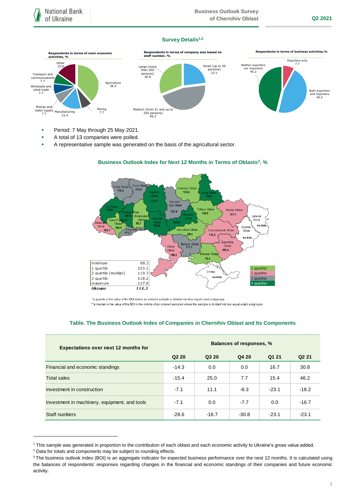#### **Survey Details1,2**



- **Period: 7 May through 25 May 2021.**
- A total of 13 companies were polled.
- A representative sample was generated on the basis of the agricultural sector.



## **Business Outlook Index for Next 12 Months in Terms of Oblasts<sup>3</sup> , %**

\*a quartile is the value of the BOI where an ordered sample is divided into four equal-sized subgroups

\*\*a median is the value of the BOI in the middle of an ordered sampled where the sample is divided into two equal-sized subgroups

#### **Table. The Business Outlook Index of Companies in Chernihiv Oblast and Its Components**

| <b>Expectations over next 12 months for</b>   | Balances of responses, % |         |         |         |                   |
|-----------------------------------------------|--------------------------|---------|---------|---------|-------------------|
|                                               | Q <sub>2</sub> 20        | Q3 20   | Q4 20   | Q1 21   | Q <sub>2</sub> 21 |
| Financial and economic standings              | $-14.3$                  | 0.0     | 0.0     | 16.7    | 30.8              |
| <b>Total sales</b>                            | $-15.4$                  | 25.0    | 7.7     | 15.4    | 46.2              |
| Investment in construction                    | $-7.1$                   | 11.1    | $-8.3$  | $-23.1$ | $-18.2$           |
| Investment in machinery, equipment, and tools | $-7.1$                   | 0.0     | $-7.7$  | 0.0     | $-16.7$           |
| Staff numbers                                 | $-28.6$                  | $-16.7$ | $-30.8$ | $-23.1$ | $-23.1$           |

<sup>1</sup> This sample was generated in proportion to the contribution of each oblast and each economic activity to Ukraine's gross value added.

1

<sup>2</sup> Data for totals and components may be subject to rounding effects.

<sup>&</sup>lt;sup>3</sup> The business outlook index (BOI) is an aggregate indicator for expected business performance over the next 12 months. It is calculated using the balances of respondents' responses regarding changes in the financial and economic standings of their companies and future economic activity.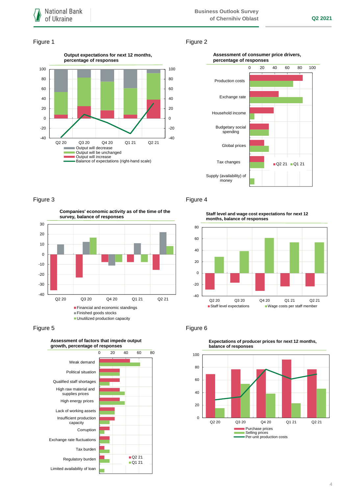#### Figure 1 Figure 2



#### **Assessment of consumer price drivers, percentage of responses**



## Figure 3 **Figure 4**

**Companies' economic activity as of the time of the survey, balance of responses**



#### Figure 5 **Figure 6** Figure 6



**Staff level and wage cost expectations for next 12 months, balance of responses**





**Expectations of producer prices for next 12 months,**